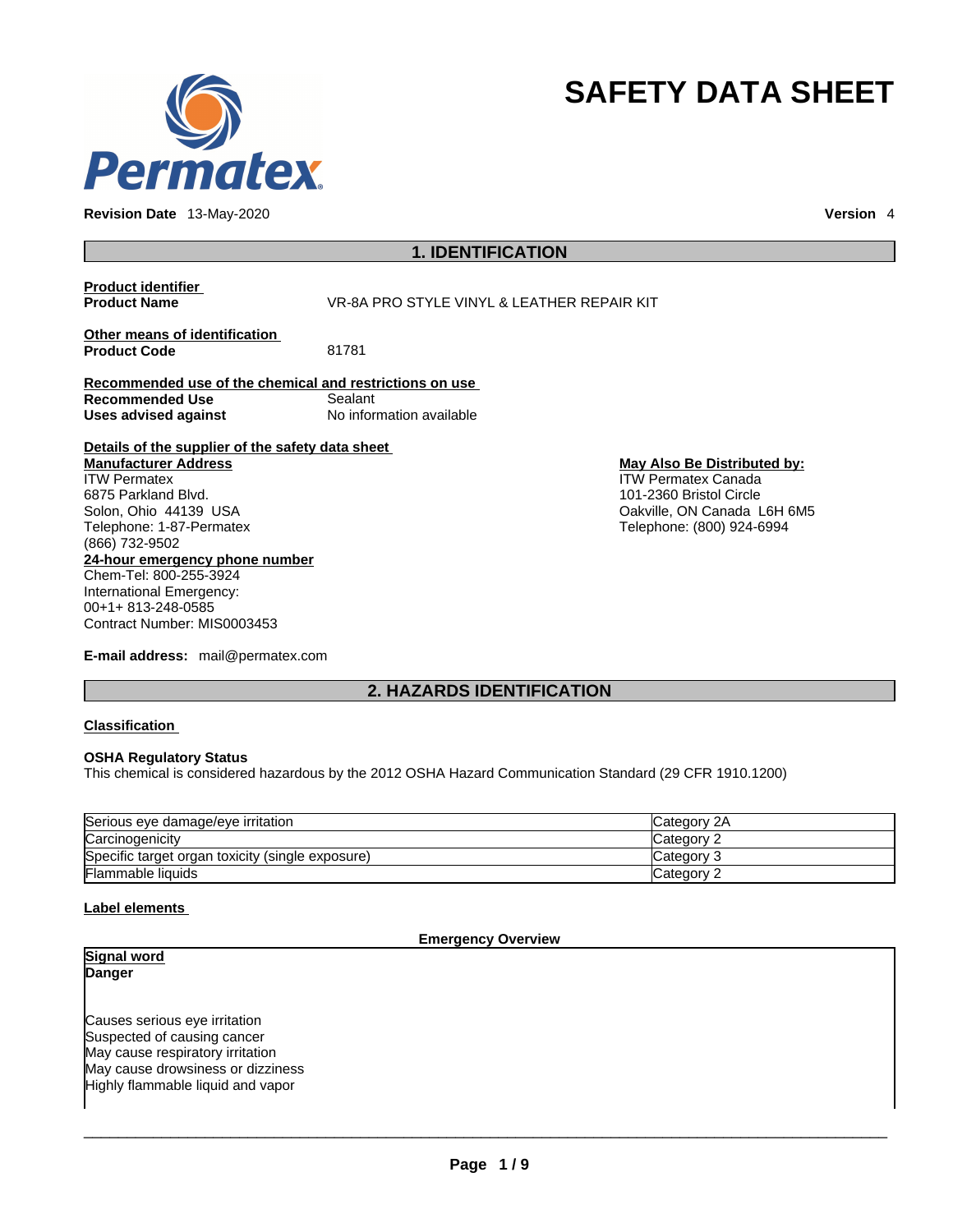

**Revision Date** 13-May-2020 **Version** 4

# **SAFETY DATA SHEET**

## **1. IDENTIFICATION**

# **Product identifier**

**VR-8A PRO STYLE VINYL & LEATHER REPAIR KIT** 

**Other means of identification**<br>**Product Code** 81781 **Product Code** 

**Recommended use of the chemical and restrictions on use Recommended Use** Sealant **Uses advised against** No information available

**Details of the supplier of the safety data sheet Manufacturer Address**

**24-hour emergency phone number** Chem-Tel: 800-255-3924 International Emergency: ITW Permatex 6875 Parkland Blvd. Solon, Ohio 44139 USA Telephone: 1-87-Permatex (866) 732-9502

00+1+ 813-248-0585 Contract Number: MIS0003453

**E-mail address:** mail@permatex.com

#### **May Also Be Distributed by:** ITW Permatex Canada 101-2360 Bristol Circle Oakville, ON Canada L6H 6M5 Telephone: (800) 924-6994

**2. HAZARDS IDENTIFICATION** 

#### **Classification**

#### **OSHA Regulatory Status**

This chemical is considered hazardous by the 2012 OSHA Hazard Communication Standard (29 CFR 1910.1200)

| Serious eye damage/eye irritation                | <b>ICategory 2A</b> |
|--------------------------------------------------|---------------------|
| Carcinogenicity                                  | Category 2          |
| Specific target organ toxicity (single exposure) | lCategorv 3         |
| <b>Flammable liquids</b>                         | Category 2          |

## **Label elements**

#### **Emergency Overview**

**Signal word Danger** 

Causes serious eye irritation Suspected of causing cancer May cause respiratory irritation May cause drowsiness or dizziness Highly flammable liquid and vapor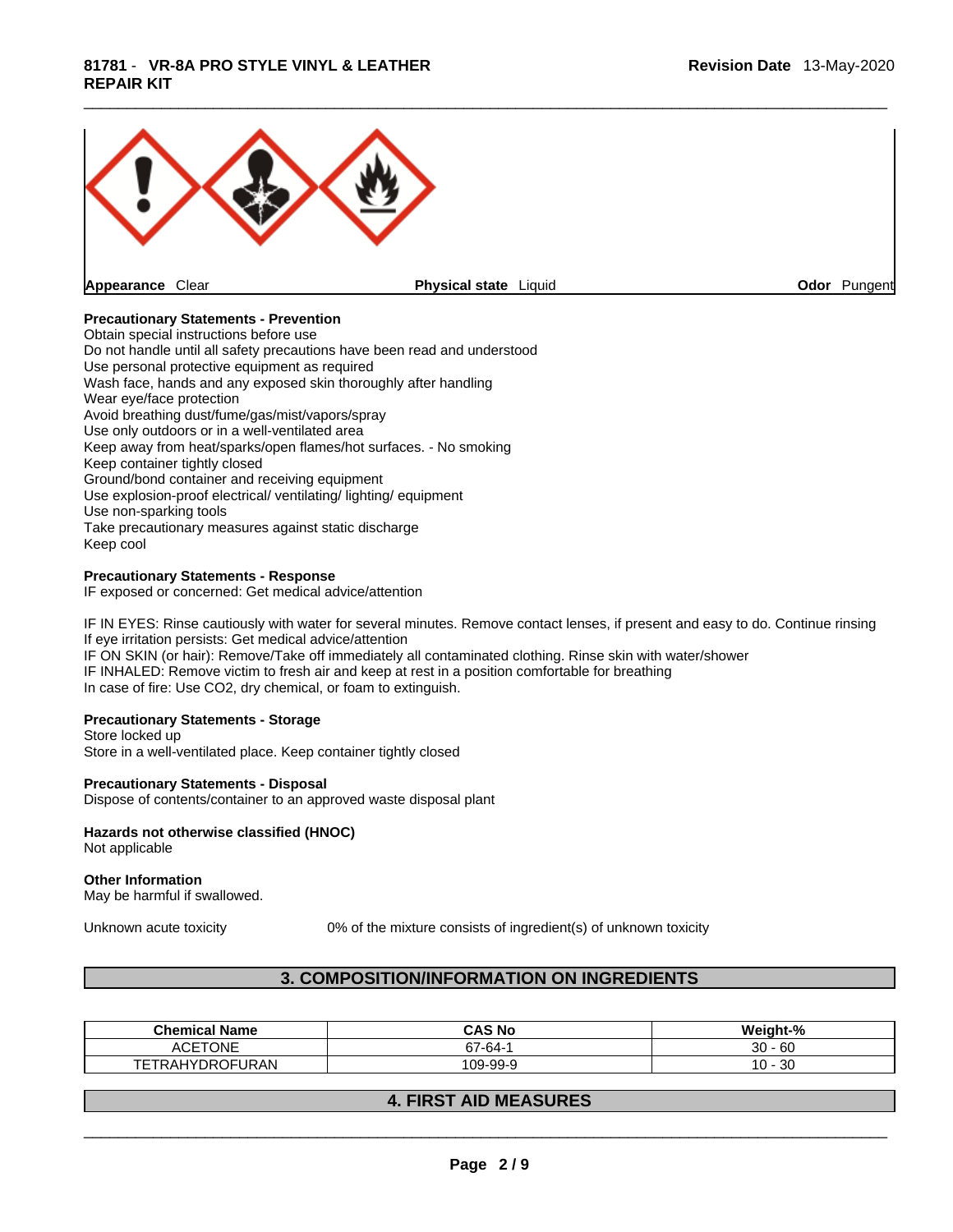

## **Precautionary Statements - Prevention**

Obtain special instructions before use Do not handle until all safety precautions have been read and understood Use personal protective equipment as required Wash face, hands and any exposed skin thoroughly after handling Wear eye/face protection Avoid breathing dust/fume/gas/mist/vapors/spray Use only outdoors or in a well-ventilated area Keep away from heat/sparks/open flames/hot surfaces. - No smoking Keep container tightly closed Ground/bond container and receiving equipment Use explosion-proof electrical/ ventilating/ lighting/ equipment Use non-sparking tools Take precautionary measures against static discharge Keep cool

#### **Precautionary Statements - Response**

IF exposed or concerned: Get medical advice/attention

IF IN EYES: Rinse cautiously with water for several minutes. Remove contact lenses, if present and easy to do. Continue rinsing If eye irritation persists: Get medical advice/attention IF ON SKIN (or hair): Remove/Take off immediately all contaminated clothing. Rinse skin with water/shower IF INHALED: Remove victim to fresh air and keep at rest in a position comfortable for breathing In case of fire: Use CO2, dry chemical, or foam to extinguish.

#### **Precautionary Statements - Storage**

Store locked up Store in a well-ventilated place. Keep container tightly closed

#### **Precautionary Statements - Disposal**

Dispose of contents/container to an approved waste disposal plant

## **Hazards not otherwise classified (HNOC)**

Not applicable

#### **Other Information**

May be harmful if swallowed.

Unknown acute toxicity 0% of the mixture consists of ingredient(s) of unknown toxicity

## **3. COMPOSITION/INFORMATION ON INGREDIENTS**

| <b>Chemical Name</b>             | CAS No   | Weight-%     |
|----------------------------------|----------|--------------|
| <b>ACETONE</b>                   | $57-64-$ | 60<br>30     |
| <b>DROFURAN</b><br><b>I RAHY</b> | 109-99-9 | 30<br>$10 -$ |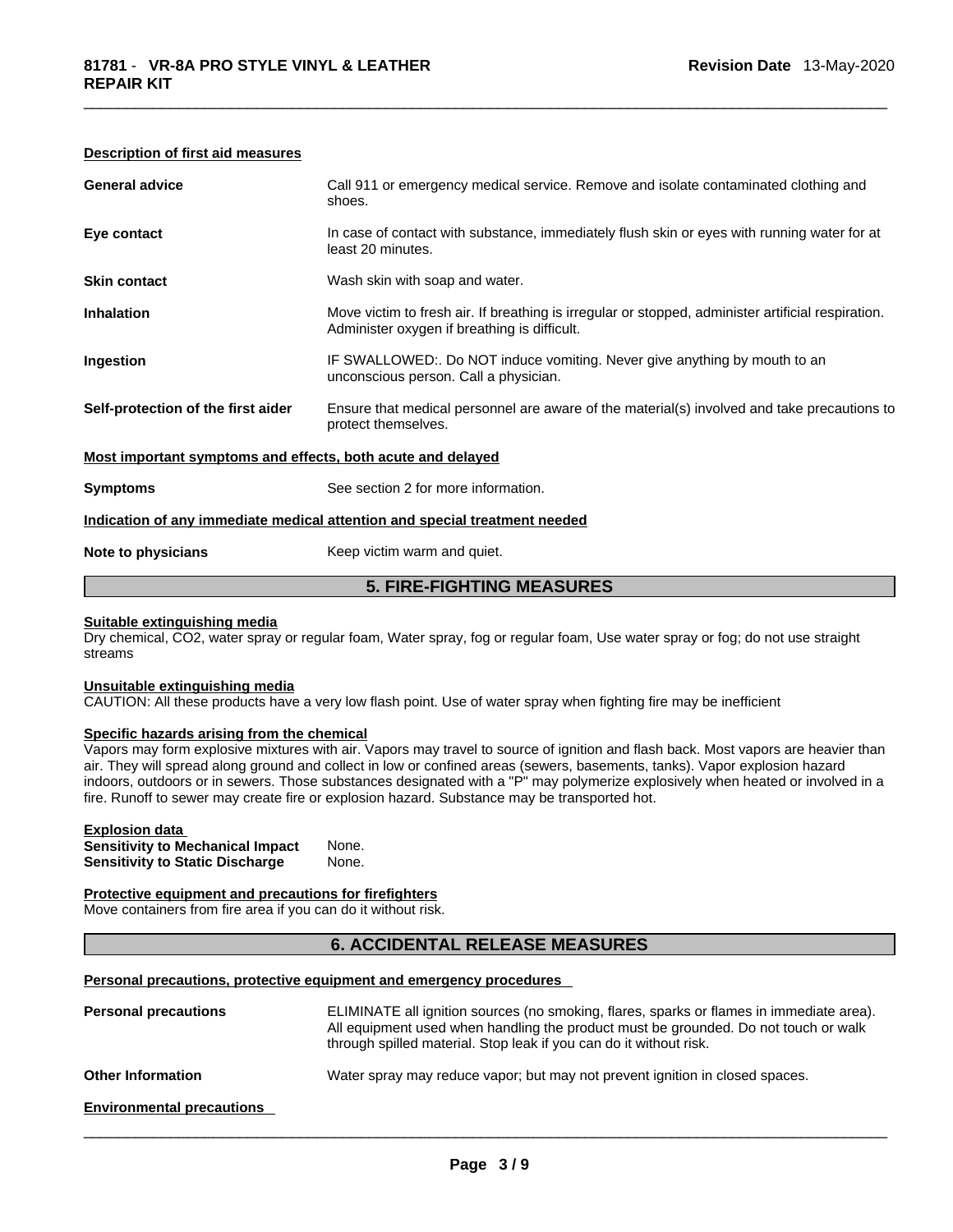### **Description of first aid measures**

| Note to physicians                                          | Keep victim warm and quiet.                                                                                                                        |
|-------------------------------------------------------------|----------------------------------------------------------------------------------------------------------------------------------------------------|
|                                                             | Indication of any immediate medical attention and special treatment needed                                                                         |
| <b>Symptoms</b>                                             | See section 2 for more information.                                                                                                                |
| Most important symptoms and effects, both acute and delayed |                                                                                                                                                    |
| Self-protection of the first aider                          | Ensure that medical personnel are aware of the material(s) involved and take precautions to<br>protect themselves.                                 |
| Ingestion                                                   | IF SWALLOWED:. Do NOT induce vomiting. Never give anything by mouth to an<br>unconscious person. Call a physician.                                 |
| <b>Inhalation</b>                                           | Move victim to fresh air. If breathing is irregular or stopped, administer artificial respiration.<br>Administer oxygen if breathing is difficult. |
| <b>Skin contact</b>                                         | Wash skin with soap and water.                                                                                                                     |
| Eye contact                                                 | In case of contact with substance, immediately flush skin or eyes with running water for at<br>least 20 minutes.                                   |
| <b>General advice</b>                                       | Call 911 or emergency medical service. Remove and isolate contaminated clothing and<br>shoes.                                                      |

## **Suitable extinguishing media**

Dry chemical, CO2, water spray or regular foam, Water spray, fog or regular foam, Use water spray or fog; do not use straight streams

#### **Unsuitable extinguishing media**

CAUTION: All these products have a very low flash point. Use of water spray when fighting fire may be inefficient

#### **Specific hazards arising from the chemical**

Vapors may form explosive mixtures with air. Vapors may travel to source of ignition and flash back. Most vapors are heavier than air. They will spread along ground and collect in low or confined areas (sewers, basements, tanks). Vapor explosion hazard indoors, outdoors or in sewers. Those substances designated with a "P" may polymerize explosively when heated or involved in a fire. Runoff to sewer may create fire or explosion hazard. Substance may be transported hot.

#### **Explosion data**

| <b>Sensitivity to Mechanical Impact</b> | None. |
|-----------------------------------------|-------|
| <b>Sensitivity to Static Discharge</b>  | None. |

#### **Protective equipment and precautions for firefighters**

Move containers from fire area if you can do it without risk.

## **6. ACCIDENTAL RELEASE MEASURES**

#### **Personal precautions, protective equipment and emergency procedures**

| <b>Personal precautions</b>      | ELIMINATE all ignition sources (no smoking, flares, sparks or flames in immediate area).<br>All equipment used when handling the product must be grounded. Do not touch or walk<br>through spilled material. Stop leak if you can do it without risk. |
|----------------------------------|-------------------------------------------------------------------------------------------------------------------------------------------------------------------------------------------------------------------------------------------------------|
| <b>Other Information</b>         | Water spray may reduce vapor; but may not prevent ignition in closed spaces.                                                                                                                                                                          |
| <b>Environmental precautions</b> |                                                                                                                                                                                                                                                       |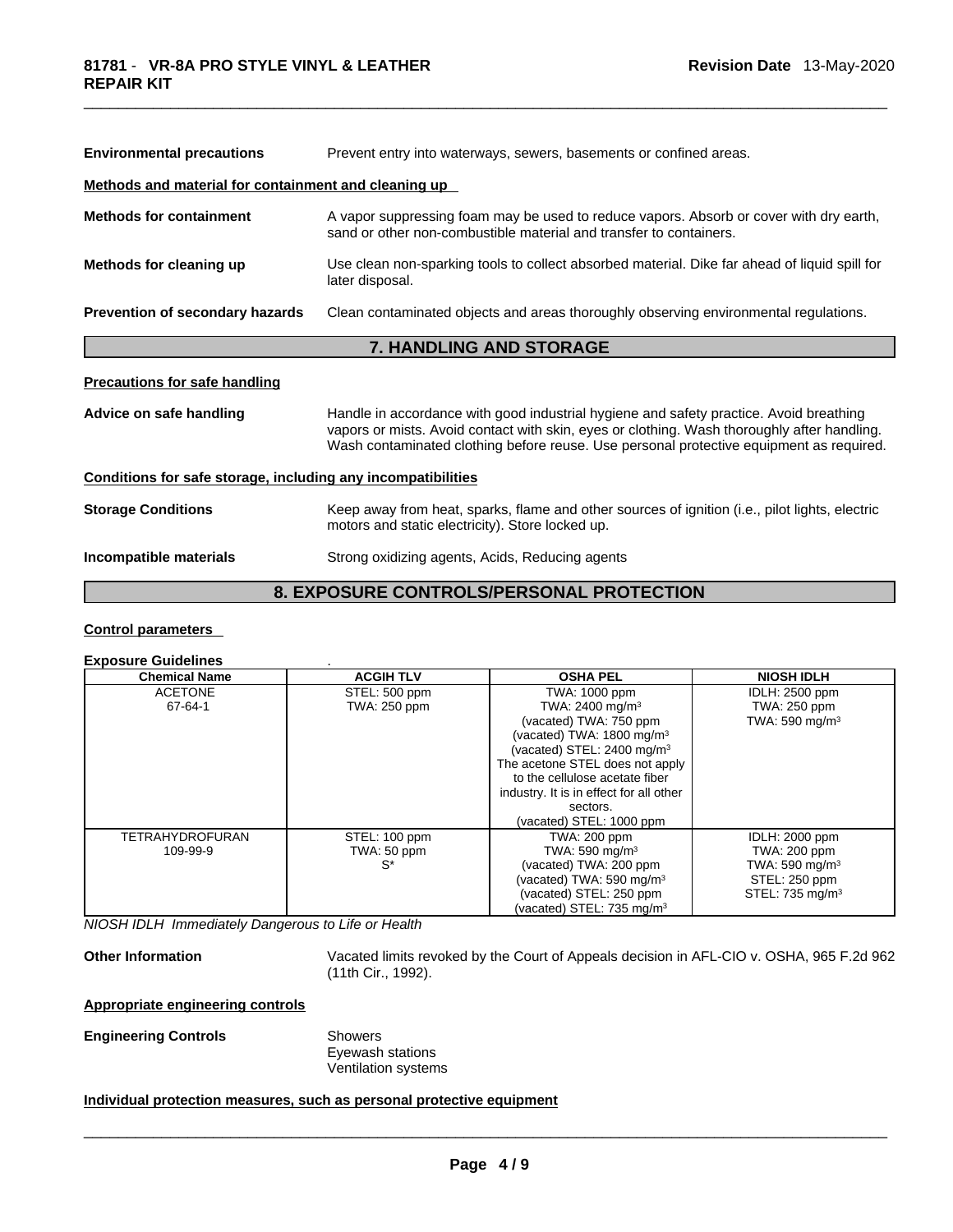| Prevent entry into waterways, sewers, basements or confined areas.<br><b>Environmental precautions</b>                                                                          |                                                                                                                                                                                                                                                                                  |  |  |  |  |
|---------------------------------------------------------------------------------------------------------------------------------------------------------------------------------|----------------------------------------------------------------------------------------------------------------------------------------------------------------------------------------------------------------------------------------------------------------------------------|--|--|--|--|
| Methods and material for containment and cleaning up                                                                                                                            |                                                                                                                                                                                                                                                                                  |  |  |  |  |
| <b>Methods for containment</b>                                                                                                                                                  | A vapor suppressing foam may be used to reduce vapors. Absorb or cover with dry earth,<br>sand or other non-combustible material and transfer to containers.                                                                                                                     |  |  |  |  |
| Methods for cleaning up                                                                                                                                                         | Use clean non-sparking tools to collect absorbed material. Dike far ahead of liquid spill for<br>later disposal.                                                                                                                                                                 |  |  |  |  |
| Prevention of secondary hazards                                                                                                                                                 | Clean contaminated objects and areas thoroughly observing environmental regulations.                                                                                                                                                                                             |  |  |  |  |
|                                                                                                                                                                                 | <b>7. HANDLING AND STORAGE</b>                                                                                                                                                                                                                                                   |  |  |  |  |
| <b>Precautions for safe handling</b>                                                                                                                                            |                                                                                                                                                                                                                                                                                  |  |  |  |  |
| Advice on safe handling                                                                                                                                                         | Handle in accordance with good industrial hygiene and safety practice. Avoid breathing<br>vapors or mists. Avoid contact with skin, eyes or clothing. Wash thoroughly after handling.<br>Wash contaminated clothing before reuse. Use personal protective equipment as required. |  |  |  |  |
| Conditions for safe storage, including any incompatibilities                                                                                                                    |                                                                                                                                                                                                                                                                                  |  |  |  |  |
| <b>Storage Conditions</b><br>Keep away from heat, sparks, flame and other sources of ignition (i.e., pilot lights, electric<br>motors and static electricity). Store locked up. |                                                                                                                                                                                                                                                                                  |  |  |  |  |
| Incompatible materials                                                                                                                                                          | Strong oxidizing agents, Acids, Reducing agents                                                                                                                                                                                                                                  |  |  |  |  |
|                                                                                                                                                                                 | <b>8. EXPOSURE CONTROLS/PERSONAL PROTECTION</b>                                                                                                                                                                                                                                  |  |  |  |  |

#### **Control parameters**

## **Exposure Guidelines** .

| <b>Chemical Name</b>   | <b>ACGIH TLV</b>    | <b>OSHA PEL</b>                         | <b>NIOSH IDLH</b>           |
|------------------------|---------------------|-----------------------------------------|-----------------------------|
| <b>ACETONE</b>         | STEL: 500 ppm       | TWA: 1000 ppm                           | <b>IDLH: 2500 ppm</b>       |
| 67-64-1                | <b>TWA: 250 ppm</b> | TWA: 2400 mg/m <sup>3</sup>             | <b>TWA: 250 ppm</b>         |
|                        |                     | (vacated) TWA: 750 ppm                  | TWA: 590 mg/m <sup>3</sup>  |
|                        |                     | (vacated) TWA: 1800 mg/m <sup>3</sup>   |                             |
|                        |                     | (vacated) STEL: 2400 mg/m <sup>3</sup>  |                             |
|                        |                     | The acetone STEL does not apply         |                             |
|                        |                     | to the cellulose acetate fiber          |                             |
|                        |                     | industry. It is in effect for all other |                             |
|                        |                     | sectors.                                |                             |
|                        |                     | (vacated) STEL: 1000 ppm                |                             |
| <b>TETRAHYDROFURAN</b> | STEL: 100 ppm       | TWA: 200 ppm                            | IDLH: 2000 ppm              |
| 109-99-9               | TWA: 50 ppm         | TWA: 590 mg/m $3$                       | TWA: 200 ppm                |
|                        | S*                  | (vacated) TWA: 200 ppm                  | TWA: 590 mg/m $3$           |
|                        |                     | (vacated) TWA: 590 mg/m <sup>3</sup>    | STEL: 250 ppm               |
|                        |                     | (vacated) STEL: 250 ppm                 | STEL: 735 mg/m <sup>3</sup> |
|                        |                     | (vacated) STEL: $735 \text{ ma/m}^3$    |                             |

*NIOSH IDLH Immediately Dangerous to Life or Health* 

**Other Information** Vacated limits revoked by the Court of Appeals decision in AFL-CIO v.OSHA, 965 F.2d 962 (11th Cir., 1992).

## **Appropriate engineering controls**

**Engineering Controls** Showers

Eyewash stations Ventilation systems

## **Individual protection measures, such as personal protective equipment**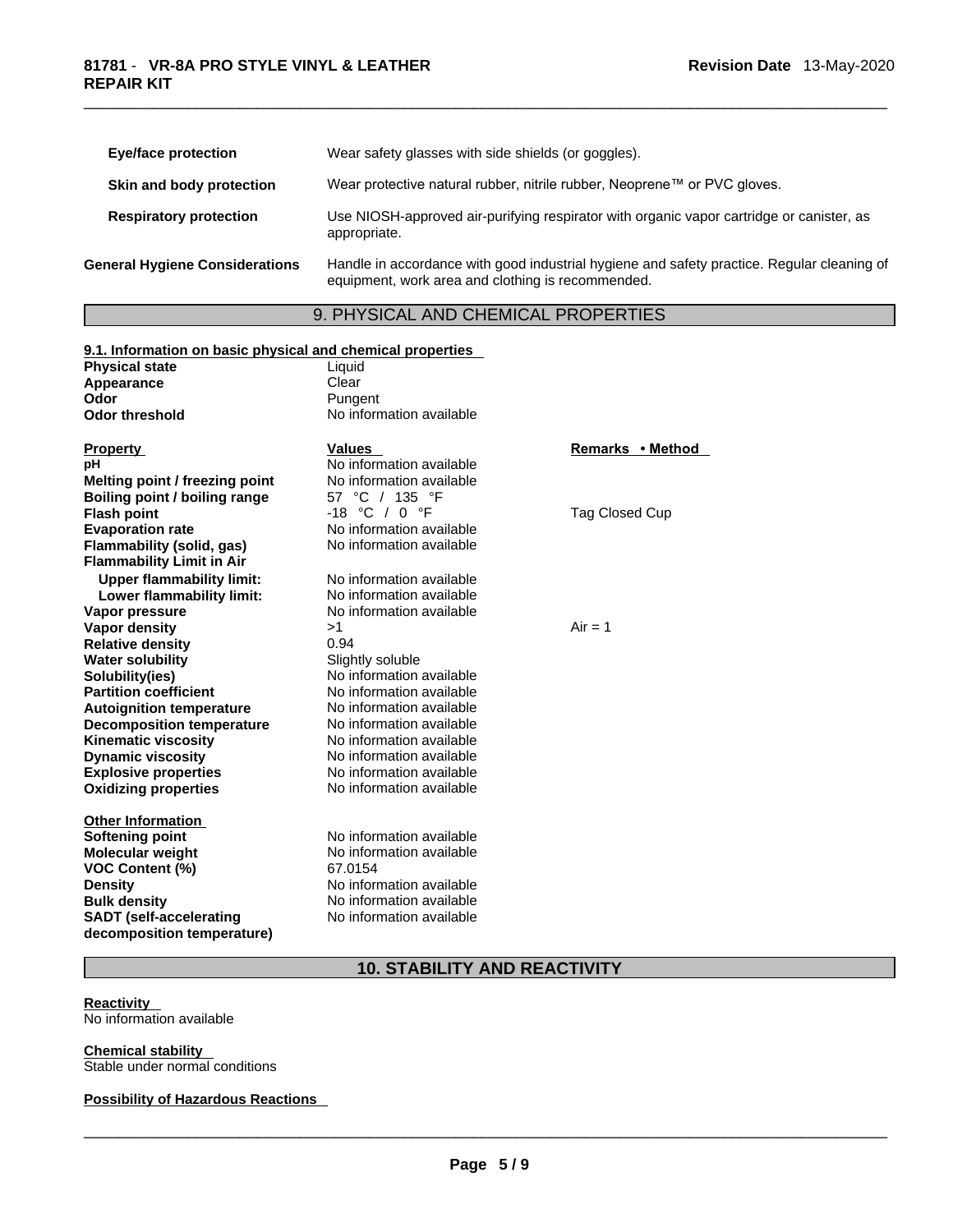|                                       | <b>Eye/face protection</b>    | Wear safety glasses with side shields (or goggles).                                                                                             |  |  |
|---------------------------------------|-------------------------------|-------------------------------------------------------------------------------------------------------------------------------------------------|--|--|
|                                       | Skin and body protection      | Wear protective natural rubber, nitrile rubber, Neoprene™ or PVC gloves.                                                                        |  |  |
|                                       | <b>Respiratory protection</b> | Use NIOSH-approved air-purifying respirator with organic vapor cartridge or canister, as<br>appropriate.                                        |  |  |
| <b>General Hygiene Considerations</b> |                               | Handle in accordance with good industrial hygiene and safety practice. Regular cleaning of<br>equipment, work area and clothing is recommended. |  |  |

# 9. PHYSICAL AND CHEMICAL PROPERTIES

| 9.1. Information on basic physical and chemical properties |                          |                  |
|------------------------------------------------------------|--------------------------|------------------|
| <b>Physical state</b>                                      | Liquid                   |                  |
| Appearance                                                 | Clear                    |                  |
| Odor                                                       | Pungent                  |                  |
| <b>Odor threshold</b>                                      | No information available |                  |
|                                                            |                          |                  |
| <b>Property</b>                                            | <b>Values</b>            | Remarks • Method |
| рH                                                         | No information available |                  |
| Melting point / freezing point                             | No information available |                  |
| Boiling point / boiling range                              | °C / 135 °F<br>57        |                  |
| <b>Flash point</b>                                         | -18 °C / 0 °F            | Tag Closed Cup   |
| <b>Evaporation rate</b>                                    | No information available |                  |
| Flammability (solid, gas)                                  | No information available |                  |
| <b>Flammability Limit in Air</b>                           |                          |                  |
| <b>Upper flammability limit:</b>                           | No information available |                  |
| Lower flammability limit:                                  | No information available |                  |
| Vapor pressure                                             | No information available |                  |
| <b>Vapor density</b>                                       | >1                       | $Air = 1$        |
| <b>Relative density</b>                                    | 0.94                     |                  |
| <b>Water solubility</b>                                    | Slightly soluble         |                  |
| Solubility(ies)                                            | No information available |                  |
| <b>Partition coefficient</b>                               | No information available |                  |
| <b>Autoignition temperature</b>                            | No information available |                  |
| <b>Decomposition temperature</b>                           | No information available |                  |
| <b>Kinematic viscosity</b>                                 | No information available |                  |
| <b>Dynamic viscosity</b>                                   | No information available |                  |
| <b>Explosive properties</b>                                | No information available |                  |
| <b>Oxidizing properties</b>                                | No information available |                  |
|                                                            |                          |                  |
| <b>Other Information</b>                                   |                          |                  |
| Softening point                                            | No information available |                  |
| <b>Molecular weight</b>                                    | No information available |                  |
| <b>VOC Content (%)</b>                                     | 67.0154                  |                  |
| <b>Density</b>                                             | No information available |                  |
| <b>Bulk density</b>                                        | No information available |                  |
| <b>SADT</b> (self-accelerating                             | No information available |                  |
| decomposition temperature)                                 |                          |                  |
|                                                            |                          |                  |

## **10. STABILITY AND REACTIVITY**

## **Reactivity**

No information available

**Chemical stability**  Stable under normal conditions

## **Possibility of Hazardous Reactions**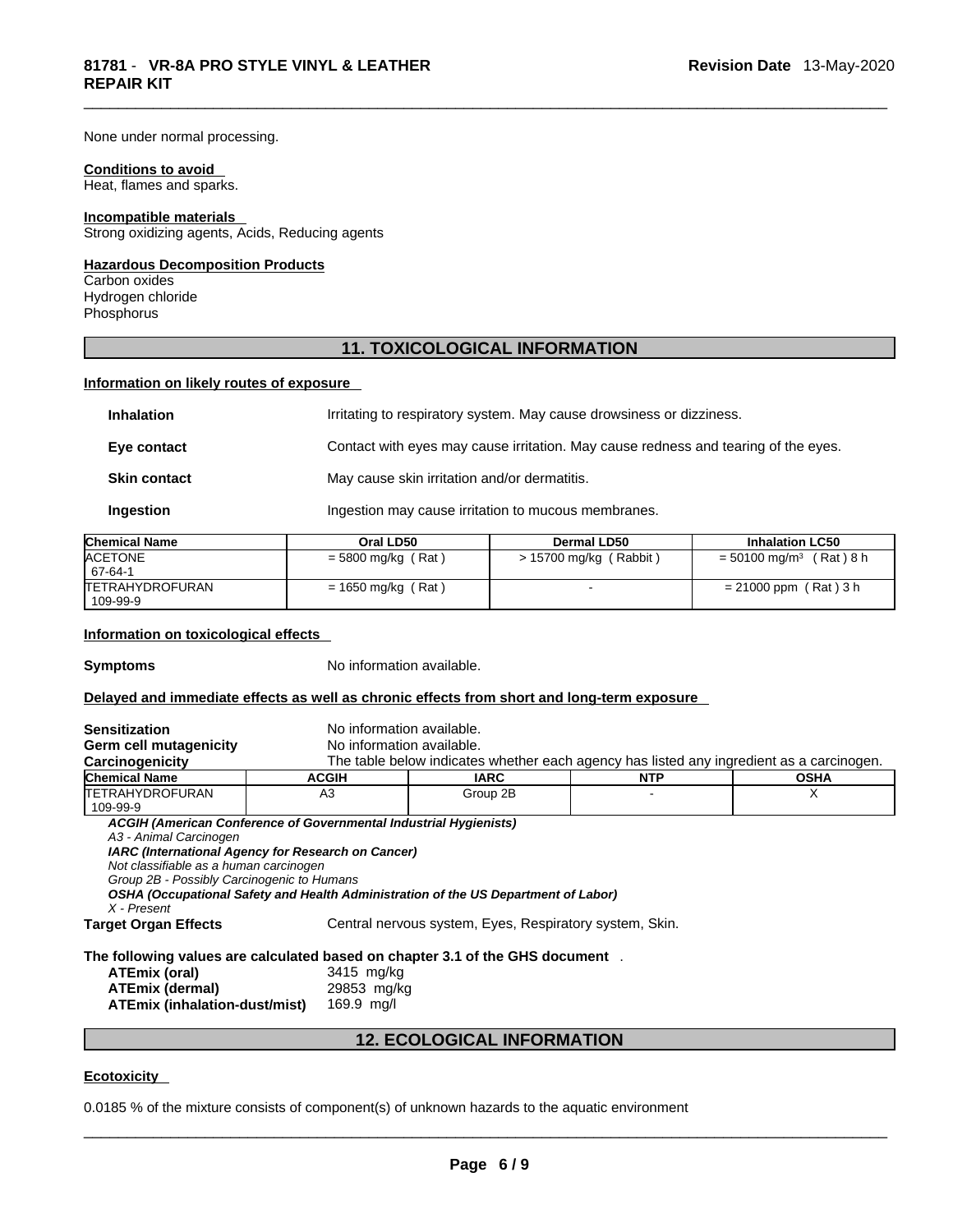## None under normal processing.

#### **Conditions to avoid**

Heat, flames and sparks.

#### **Incompatible materials**

Strong oxidizing agents, Acids, Reducing agents

## **Hazardous Decomposition Products**

Carbon oxides Hydrogen chloride Phosphorus

## **11. TOXICOLOGICAL INFORMATION**

## **Information on likely routes of exposure**

| <b>Inhalation</b>   | Irritating to respiratory system. May cause drowsiness or dizziness.               |
|---------------------|------------------------------------------------------------------------------------|
| Eye contact         | Contact with eyes may cause irritation. May cause redness and tearing of the eyes. |
| <b>Skin contact</b> | May cause skin irritation and/or dermatitis.                                       |
| Ingestion           | Ingestion may cause irritation to mucous membranes.                                |

| <b>Chemical Name</b>    | Oral LD50            | Dermal LD50              | <b>Inhalation LC50</b>                   |
|-------------------------|----------------------|--------------------------|------------------------------------------|
| <b>ACETONE</b>          | $=$ 5800 mg/kg (Rat) | $> 15700$ mg/kg (Rabbit) | (Rat) 8 h<br>$= 50100$ mg/m <sup>3</sup> |
| 67-64-1                 |                      |                          |                                          |
| <b>ITETRAHYDROFURAN</b> | $= 1650$ mg/kg (Rat) |                          | $= 21000$ ppm (Rat) 3 h                  |
| 109-99-9                |                      |                          |                                          |

## **Information on toxicological effects**

**Symptoms** No information available.

## **Delayed and immediate effects as well as chronic effects from short and long-term exposure**

| <b>Sensitization</b>                                                                                                                                                                                                                                                                                                                                                                                                                     |                                         | No information available.                                                                |            |             |  |
|------------------------------------------------------------------------------------------------------------------------------------------------------------------------------------------------------------------------------------------------------------------------------------------------------------------------------------------------------------------------------------------------------------------------------------------|-----------------------------------------|------------------------------------------------------------------------------------------|------------|-------------|--|
| <b>Germ cell mutagenicity</b>                                                                                                                                                                                                                                                                                                                                                                                                            |                                         | No information available.                                                                |            |             |  |
| Carcinogenicity                                                                                                                                                                                                                                                                                                                                                                                                                          |                                         | The table below indicates whether each agency has listed any ingredient as a carcinogen. |            |             |  |
| <b>Chemical Name</b>                                                                                                                                                                                                                                                                                                                                                                                                                     | <b>ACGIH</b>                            | <b>IARC</b>                                                                              | <b>NTP</b> | <b>OSHA</b> |  |
| <b>ITETRAHYDROFURAN</b>                                                                                                                                                                                                                                                                                                                                                                                                                  | A <sub>3</sub>                          | Group 2B                                                                                 |            | X           |  |
| 109-99-9                                                                                                                                                                                                                                                                                                                                                                                                                                 |                                         |                                                                                          |            |             |  |
| ACGIH (American Conference of Governmental Industrial Hygienists)<br>A3 - Animal Carcinogen<br>IARC (International Agency for Research on Cancer)<br>Not classifiable as a human carcinogen<br>Group 2B - Possibly Carcinogenic to Humans<br>OSHA (Occupational Safety and Health Administration of the US Department of Labor)<br>X - Present<br>Central nervous system, Eyes, Respiratory system, Skin.<br><b>Target Organ Effects</b> |                                         |                                                                                          |            |             |  |
| The following values are calculated based on chapter 3.1 of the GHS document.<br>ATEmix (oral)<br><b>ATEmix (dermal)</b><br>ATEmix (inhalation-dust/mist)                                                                                                                                                                                                                                                                                | 3415 mg/kg<br>29853 mg/kg<br>169.9 mg/l |                                                                                          |            |             |  |

## **12. ECOLOGICAL INFORMATION**

## **Ecotoxicity**

0.0185 % of the mixture consists of component(s) of unknown hazards to the aquatic environment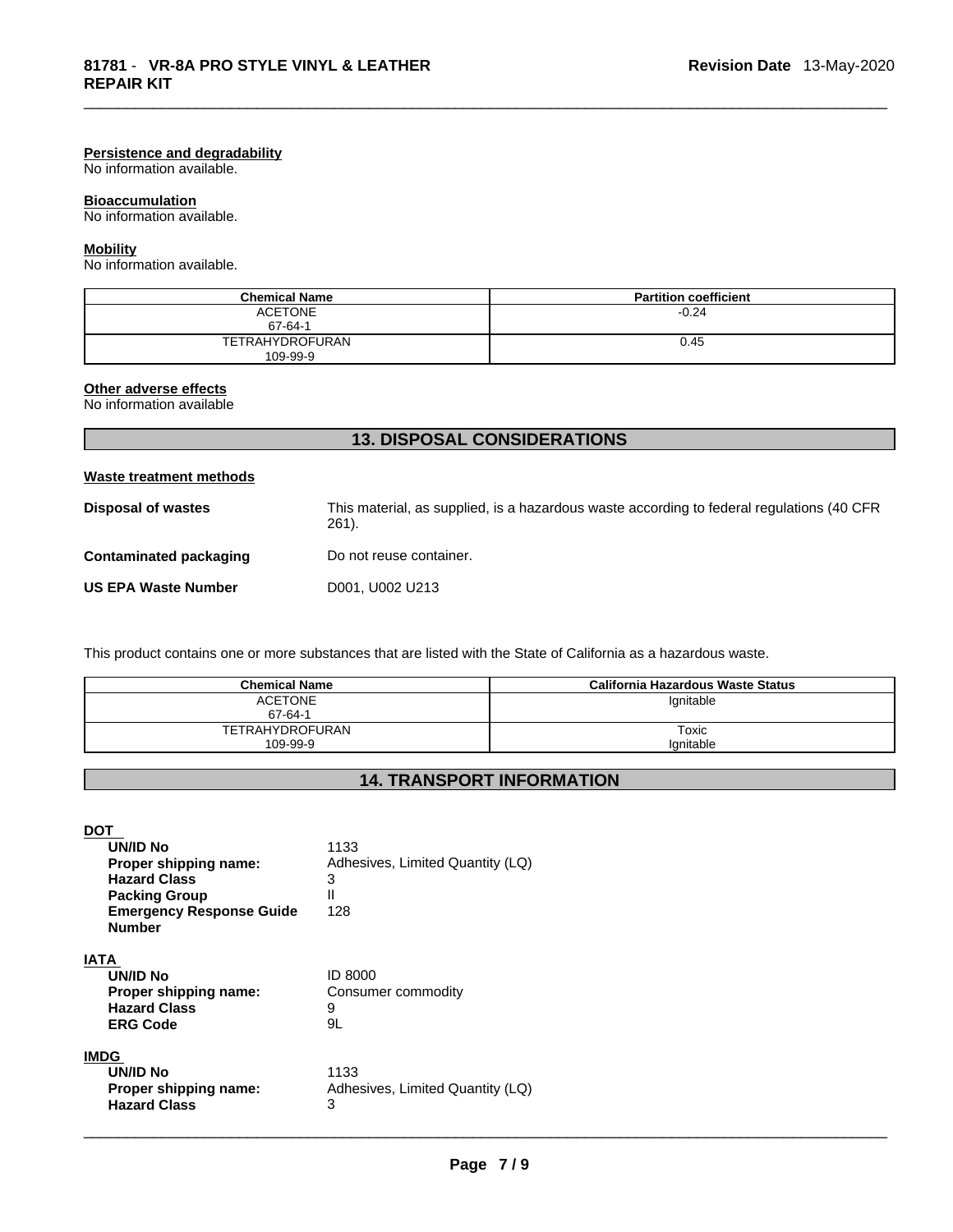## **Persistence and degradability**

No information available.

## **Bioaccumulation**

No information available.

#### **Mobility**

No information available.

| <b>Chemical Name</b>        | <b>Partition coefficient</b> |
|-----------------------------|------------------------------|
| <b>ACETONE</b><br>67-64-1   | $-0.24$                      |
| TETRAHYDROFURAN<br>109-99-9 | 0.45                         |

#### **Other adverse effects**

No information available

## **13. DISPOSAL CONSIDERATIONS**

#### **Waste treatment methods**

| Disposal of wastes            | This material, as supplied, is a hazardous waste according to federal regulations (40 CFR<br>$261$ . |
|-------------------------------|------------------------------------------------------------------------------------------------------|
| <b>Contaminated packaging</b> | Do not reuse container.                                                                              |
| <b>US EPA Waste Number</b>    | D001, U002 U213                                                                                      |

This product contains one or more substances that are listed with the State of California as a hazardous waste.

| <b>Chemical Name</b>   | California Hazardous Waste Status |
|------------------------|-----------------------------------|
| <b>ACETONE</b>         | lgnitable                         |
| 67-64-1                |                                   |
| <b>TETRAHYDROFURAN</b> | Toxic                             |
| 109-99-9               | lanitable                         |

# **14. TRANSPORT INFORMATION**

**DOT** 

| <b>UN/ID No</b><br>Proper shipping name:<br><b>Hazard Class</b><br><b>Packing Group</b><br><b>Emergency Response Guide</b><br><b>Number</b> | 1133<br>Adhesives, Limited Quantity (LQ)<br>3<br>Ш<br>128 |
|---------------------------------------------------------------------------------------------------------------------------------------------|-----------------------------------------------------------|
| IATA<br><b>UN/ID No</b><br>Proper shipping name:<br><b>Hazard Class</b><br><b>ERG Code</b>                                                  | ID 8000<br>Consumer commodity<br>9<br>9L                  |
| <b>IMDG</b><br><b>UN/ID No</b><br>Proper shipping name:<br><b>Hazard Class</b>                                                              | 1133<br>Adhesives, Limited Quantity (LQ)<br>3             |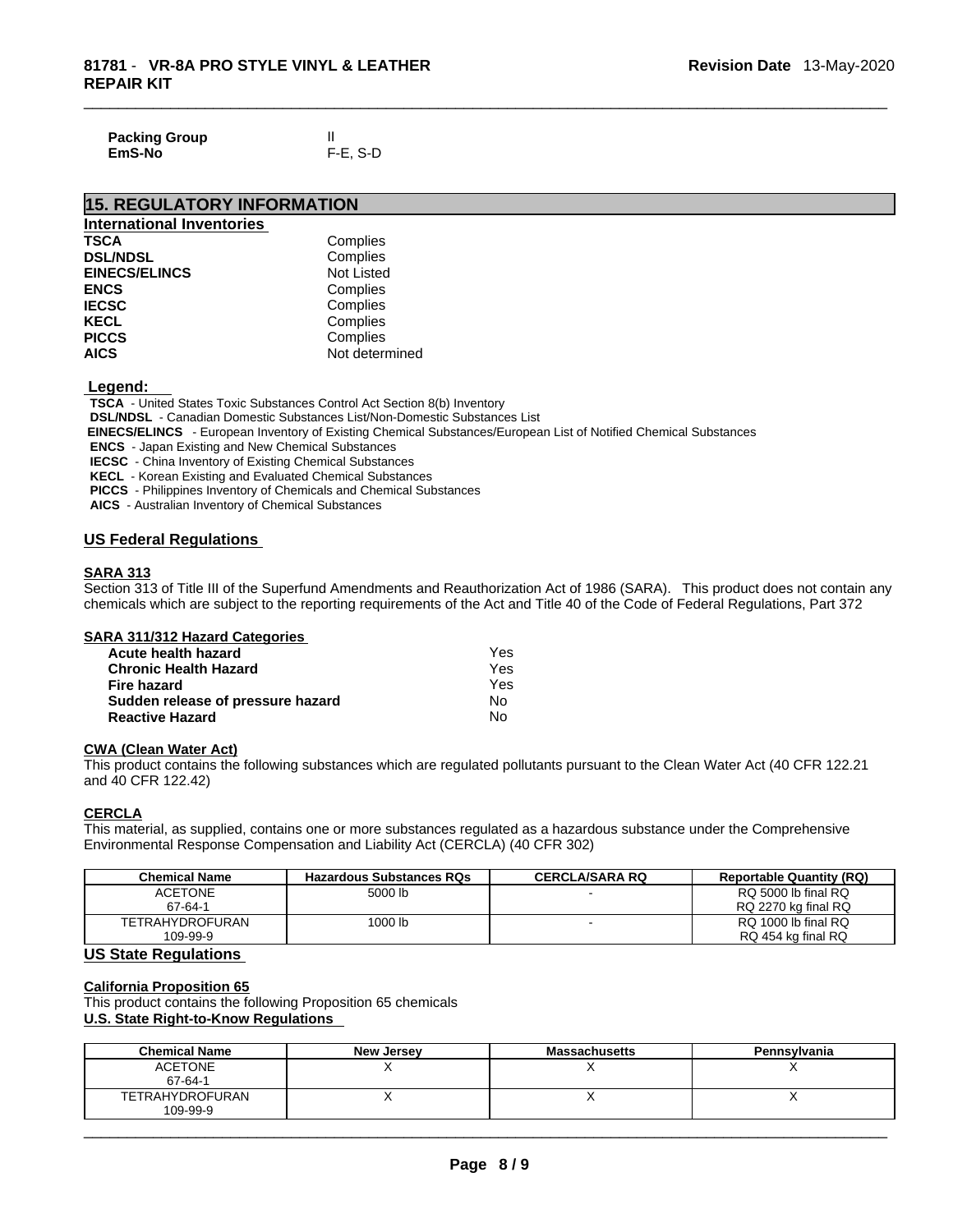| <b>Packing Group</b> |          |
|----------------------|----------|
| EmS-No               | F-E, S-D |

## **15. REGULATORY INFORMATION**

| <b>International Inventories</b> |                   |
|----------------------------------|-------------------|
| <b>TSCA</b>                      | Complies          |
| <b>DSL/NDSL</b>                  | Complies          |
| <b>EINECS/ELINCS</b>             | <b>Not Listed</b> |
| <b>ENCS</b>                      | Complies          |
| <b>IECSC</b>                     | Complies          |
| <b>KECL</b>                      | Complies          |
| <b>PICCS</b>                     | Complies          |
| <b>AICS</b>                      | Not determined    |

 **Legend:** 

**TSCA** - United States Toxic Substances Control Act Section 8(b) Inventory

**DSL/NDSL** - Canadian Domestic Substances List/Non-Domestic Substances List

 **EINECS/ELINCS** - European Inventory of Existing Chemical Substances/European List of Notified Chemical Substances

**ENCS** - Japan Existing and New Chemical Substances

**IECSC** - China Inventory of Existing Chemical Substances

**KECL** - Korean Existing and Evaluated Chemical Substances

**PICCS** - Philippines Inventory of Chemicals and Chemical Substances

**AICS** - Australian Inventory of Chemical Substances

## **US Federal Regulations**

#### **SARA 313**

Section 313 of Title III of the Superfund Amendments and Reauthorization Act of 1986 (SARA). This product does not contain any chemicals which are subject to the reporting requirements of the Act and Title 40 of the Code of Federal Regulations, Part 372

#### **SARA 311/312 Hazard Categories**

| Acute health hazard               | Yes |
|-----------------------------------|-----|
| <b>Chronic Health Hazard</b>      | Yes |
| Fire hazard                       | Yes |
| Sudden release of pressure hazard | No. |
| <b>Reactive Hazard</b>            | No  |

## **CWA** (Clean Water Act)

This product contains the following substances which are regulated pollutants pursuant to the Clean Water Act (40 CFR 122.21 and 40 CFR 122.42)

## **CERCLA**

This material, as supplied, contains one or more substances regulated as a hazardous substance under the Comprehensive Environmental Response Compensation and Liability Act (CERCLA) (40 CFR 302)

| <b>Chemical Name</b>   | <b>Hazardous Substances RQs</b> | <b>CERCLA/SARA RQ</b> | <b>Reportable Quantity (RQ)</b> |
|------------------------|---------------------------------|-----------------------|---------------------------------|
| <b>ACETONE</b>         | 5000 lb                         |                       | RQ 5000 lb final RQ             |
| 67-64-1                |                                 |                       | RQ 2270 kg final RQ             |
| <b>TETRAHYDROFURAN</b> | 1000 lb                         |                       | RQ 1000 lb final RQ             |
| 109-99-9               |                                 |                       | RQ 454 kg final RQ              |

## **US State Regulations**

## **California Proposition 65**

This product contains the following Proposition 65 chemicals

## **U.S. State Right-to-Know Regulations**

| <b>Chemical Name</b> | <b>New Jersey</b> | <b>Massachusetts</b> | Pennsylvania |
|----------------------|-------------------|----------------------|--------------|
| <b>ACETONE</b>       |                   |                      |              |
| 67-64-1              |                   |                      |              |
| TETRAHYDROFURAN      |                   |                      |              |
| 109-99-9             |                   |                      |              |